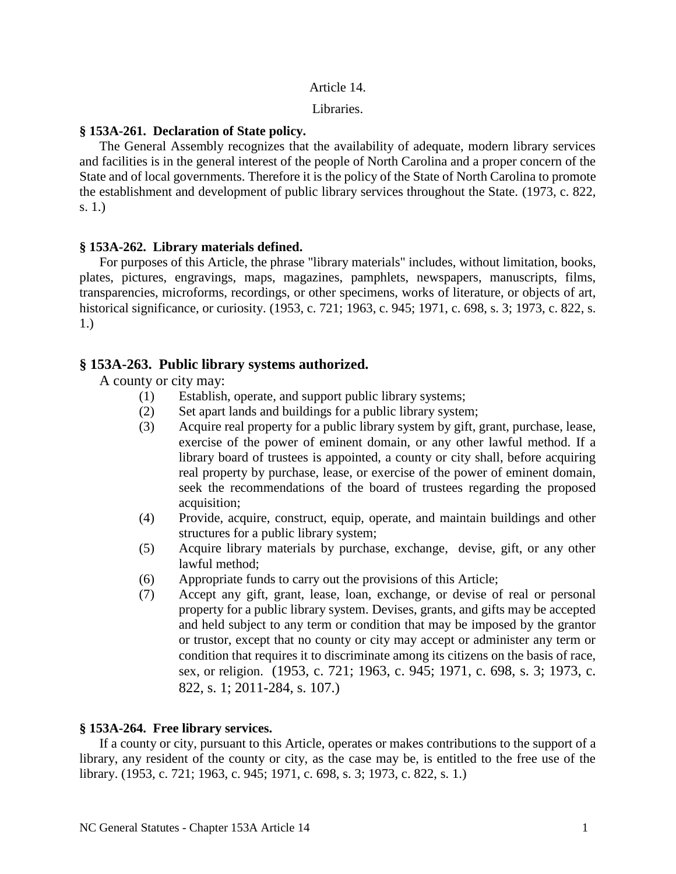#### Article 14.

Libraries.

## **§ 153A-261. Declaration of State policy.**

The General Assembly recognizes that the availability of adequate, modern library services and facilities is in the general interest of the people of North Carolina and a proper concern of the State and of local governments. Therefore it is the policy of the State of North Carolina to promote the establishment and development of public library services throughout the State. (1973, c. 822, s. 1.)

## **§ 153A-262. Library materials defined.**

For purposes of this Article, the phrase "library materials" includes, without limitation, books, plates, pictures, engravings, maps, magazines, pamphlets, newspapers, manuscripts, films, transparencies, microforms, recordings, or other specimens, works of literature, or objects of art, historical significance, or curiosity. (1953, c. 721; 1963, c. 945; 1971, c. 698, s. 3; 1973, c. 822, s. 1.)

# **§ 153A-263. Public library systems authorized.**

A county or city may:

- (1) Establish, operate, and support public library systems;
- (2) Set apart lands and buildings for a public library system;
- (3) Acquire real property for a public library system by gift, grant, purchase, lease, exercise of the power of eminent domain, or any other lawful method. If a library board of trustees is appointed, a county or city shall, before acquiring real property by purchase, lease, or exercise of the power of eminent domain, seek the recommendations of the board of trustees regarding the proposed acquisition;
- (4) Provide, acquire, construct, equip, operate, and maintain buildings and other structures for a public library system;
- (5) Acquire library materials by purchase, exchange, devise, gift, or any other lawful method;
- (6) Appropriate funds to carry out the provisions of this Article;
- (7) Accept any gift, grant, lease, loan, exchange, or devise of real or personal property for a public library system. Devises, grants, and gifts may be accepted and held subject to any term or condition that may be imposed by the grantor or trustor, except that no county or city may accept or administer any term or condition that requires it to discriminate among its citizens on the basis of race, sex, or religion. (1953, c. 721; 1963, c. 945; 1971, c. 698, s. 3; 1973, c. 822, s. 1; 2011-284, s. 107.)

# **§ 153A-264. Free library services.**

If a county or city, pursuant to this Article, operates or makes contributions to the support of a library, any resident of the county or city, as the case may be, is entitled to the free use of the library. (1953, c. 721; 1963, c. 945; 1971, c. 698, s. 3; 1973, c. 822, s. 1.)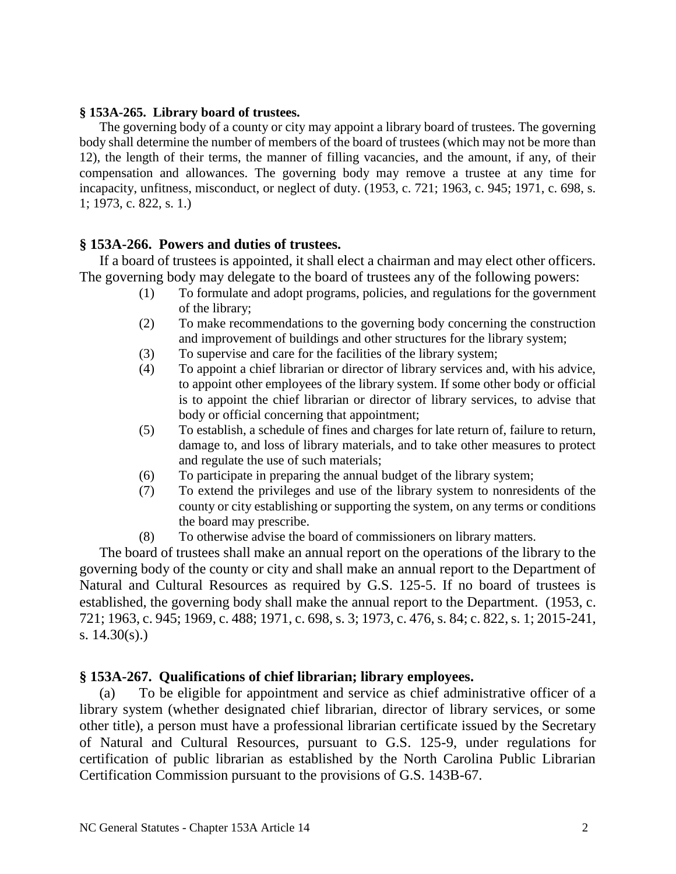## **§ 153A-265. Library board of trustees.**

The governing body of a county or city may appoint a library board of trustees. The governing body shall determine the number of members of the board of trustees (which may not be more than 12), the length of their terms, the manner of filling vacancies, and the amount, if any, of their compensation and allowances. The governing body may remove a trustee at any time for incapacity, unfitness, misconduct, or neglect of duty. (1953, c. 721; 1963, c. 945; 1971, c. 698, s. 1; 1973, c. 822, s. 1.)

## **§ 153A-266. Powers and duties of trustees.**

If a board of trustees is appointed, it shall elect a chairman and may elect other officers. The governing body may delegate to the board of trustees any of the following powers:

- (1) To formulate and adopt programs, policies, and regulations for the government of the library;
- (2) To make recommendations to the governing body concerning the construction and improvement of buildings and other structures for the library system;
- (3) To supervise and care for the facilities of the library system;
- (4) To appoint a chief librarian or director of library services and, with his advice, to appoint other employees of the library system. If some other body or official is to appoint the chief librarian or director of library services, to advise that body or official concerning that appointment;
- (5) To establish, a schedule of fines and charges for late return of, failure to return, damage to, and loss of library materials, and to take other measures to protect and regulate the use of such materials;
- (6) To participate in preparing the annual budget of the library system;
- (7) To extend the privileges and use of the library system to nonresidents of the county or city establishing or supporting the system, on any terms or conditions the board may prescribe.
- (8) To otherwise advise the board of commissioners on library matters.

The board of trustees shall make an annual report on the operations of the library to the governing body of the county or city and shall make an annual report to the Department of Natural and Cultural Resources as required by G.S. 125-5. If no board of trustees is established, the governing body shall make the annual report to the Department. (1953, c. 721; 1963, c. 945; 1969, c. 488; 1971, c. 698, s. 3; 1973, c. 476, s. 84; c. 822, s. 1; 2015-241, s. 14.30(s).)

## **§ 153A-267. Qualifications of chief librarian; library employees.**

(a) To be eligible for appointment and service as chief administrative officer of a library system (whether designated chief librarian, director of library services, or some other title), a person must have a professional librarian certificate issued by the Secretary of Natural and Cultural Resources, pursuant to G.S. 125-9, under regulations for certification of public librarian as established by the North Carolina Public Librarian Certification Commission pursuant to the provisions of G.S. 143B-67.